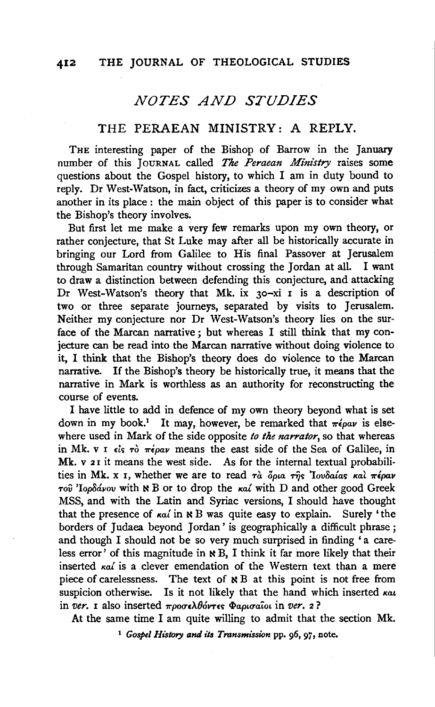#### 412 THE JOURNAL OF THEOLOGICAL STUDIES

# *NOTES AND STUDIES*

### THE PERAEAN MINISTRY: A REPLY.

THE interesting paper of the Bishop of Barrow in the January number of this JoURNAL called *The Peraean Ministry* raises some questions about the Gospel history, to which I am in duty bound to reply. Dr West-Watson, in fact, criticizes a theory of my own and puts another in its place : the main object of this paper is to consider what the Bishop's theory involves.

But first let me make a very few remarks upon my own theory, or rather conjecture, that St Luke may after all be historically accurate in bringing our Lord from Galilee to His final Passover at Jerusalem through Samaritan country without crossing the Jordan at all. I want to draw a distinction between defending this conjecture, and attacking Dr West-Watson's theory that Mk. ix 30-xi I is a description of two or three separate journeys, separated by visits to Jerusalem. Neither my conjecture nor Dr West-Watson's theory lies on the surface of the Marcan narrative ; but whereas I still think that my conjecture can be read into the Marcan narrative without doing violence to it, I think that the Bishop's theory does do violence to the Marcan narrative. If the Bishop's theory be historically true, it means that the narrative in Mark is worthless as an authority for reconstructing the course of events.

I have little to add in defence of my own theory beyond what is set down in my book.<sup>1</sup> It may, however, be remarked that  $\pi \epsilon \rho \omega \nu$  is elsewhere used in Mark of the side opposite *to the narrator,* so that whereas in Mk. v I dis To  $\pi\epsilon\rho\alpha\nu$  means the east side of the Sea of Galilee, in Mk. v 21 it means the west side. As for the internal textual probabilities in Mk. x *I*, whether we are to read τα δρια της 'Iovδαίας και πέραν  $τ$ οῦ 'Ιορδάνου with **×** B or to drop the *καί* with D and other good Greek MSS, and with the Latin and Syriac versions, I should have thought that the presence of  $\kappa a'$  in  $\kappa$  B was quite easy to explain. Surely 'the borders of Judaea beyond Jordan' is geographically a difficult phrase; and though I should not be so very much surprised in finding 'a careless error' of this magnitude in  $\ltimes B$ , I think it far more likely that their inserted  $\kappa a'$  is a clever emendation of the Western text than a mere piece of carelessness. The text of  $\aleph B$  at this point is not free from suspicion otherwise. Is it not likely that the hand which inserted *kat* in *ver. I* also inserted προσελθόντες Φαρισαΐοι in *ver.* 2?

At the same time I am quite willing to admit that the section Mk.

<sup>1</sup> Gospel History and its *Transmission* pp. 96, 97, note.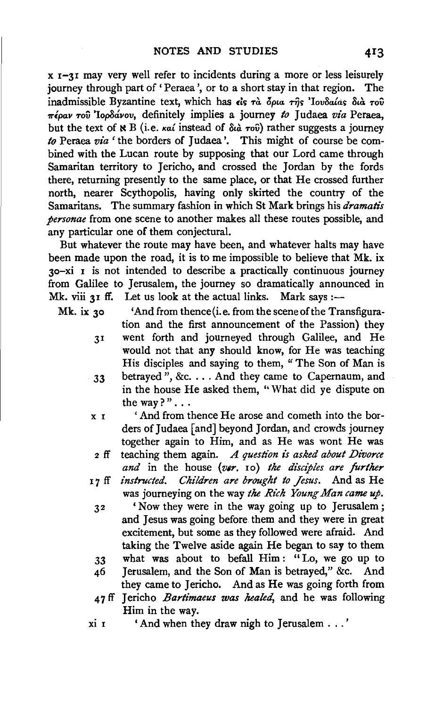x 1-31 may very well refer to incidents during a more or less leisurely journey through part of 'Peraea', or to a short stay in that region. inadmissible Byzantine text, which has *£le; Ta 6pta* Tijc; *'lovBa{ac; Bta* Tov *1rlpav* Tov *'lopBavov,* definitely implies a journey *to* J udaea *via* Peraea, but the text of **N** B (i.e. *kat* instead of  $\delta u \hat{a}$  *rov*) rather suggests a journey *to* Peraea *via'* the borders of Judaea '. This might of course be combined with the Lucan route by supposing that our Lord came through Samaritan territory to Jericho, and crossed the Jordan by the fords there, returning presently to the same place, or that He crossed further north, nearer Scythopolis, having only skirted the country of the Samaritans. The summary fashion in which St Mark brings his *dramatis personae* from one scene to another makes all these routes possible, and any particular one of them conjectural.

But whatever the route may have been, and whatever halts may have been made upon the road, it is to me impossible to believe that Mk. ix 30-xi I is not intended to describe a practically continuous journey from Galilee to Jerusalem, the journey so dramatically announced in Mk. viii 31 ff. Let us look at the actual links. Mark says:-

Mk. ix 30 'And from thence (i.e. from the scene of the Transfiguration and the first announcement of the Passion} they 3I went forth and journeyed through Galilee, and He would not that any should know, for He was teaching His disciples and saying to them, "The Son of Man is 33 betrayed", &c .... And they came to Capernaum, and in the house He asked them, "What did ye dispute on the way?"...

- x r ' And from thence He arose and cometh into the borders of Judaea [and] beyond Jordan, and crowds journey together again to Him, and as He was wont He was
- 2 ff teaching them again. *A question is asked about Divorce and* in the house *(v6r.* ro) *the disciples are further*
- I 7 ff *instructed. Children are brought to Jesus.* And as He was journeying on the way *the Rich Young Man came up.* 
	- 32 'Now they were in the way going up to Jerusalem; and Jesus was going before them and they were in great excitement, but some as they followed were afraid. And taking the Twelve aside again He began to say to them 33 what was about to befall Him : " Lo, we go up to
	- 46 Jerusalem, and the Son of Man is betrayed," &c. And they came to Jericho. And as He was going forth from
	- 47 ff Jericho *Bartimaeus was healed,* and he was following Him in the way.
- $x_i$  I  $'$  And when they draw night o Jerusalem ...'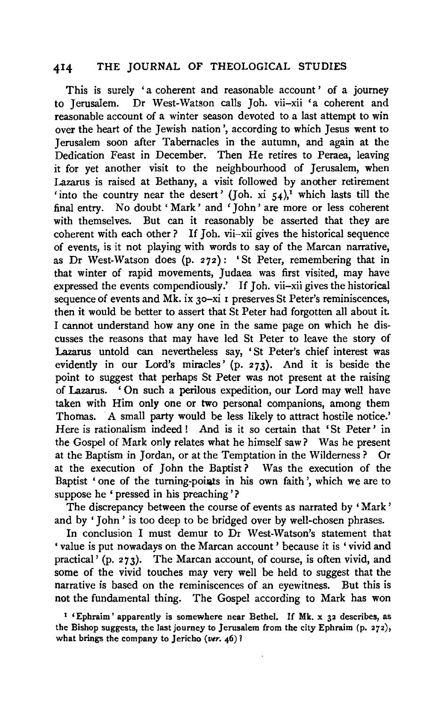#### **414** THE JOURNAL OF THEOLOGICAL STUDIES

This is surely 'a coherent and reasonable account' of a journey to Jerusalem. Dr West-Watson calls Joh. vii-xii 'a coherent and reasonable account of a winter season devoted to a last attempt to win over the heart of the Jewish nation', according to which Jesus went to Jerusalem soon after Tabernacles in the autumn, and again at the Dedication Feast in December. Then He retires to Peraea, leaving it for yet another visit to the neighbourhood of Jerusalem, when Lazarus is raised at Bethany, a visit followed by another retirement 'into the country near the desert' (Joh. xi  $54$ )<sup>1</sup> which lasts till the final entry. No doubt' Mark' and 'John' are more or less coherent with themselves. But can it reasonably be asserted that they are coherent with each other? If Joh. vii-xii gives the historical sequence of events, is it not playing with words to say of the Marcan narrative, as Dr West-Watson does (p. 272): 'St Peter, remembering that in that winter of rapid movements, Judaea was first visited, may have expressed the events compendiously.' If Joh. vii-xii gives the historical sequence of events and Mk. ix 30-xi 1 preserves St Peter's reminiscences, then it would be better to assert that St Peter had forgotten all about it. I cannot understand how any one in the same page on which he discusses the reasons that may have led St Peter to leave the story of Lazarus untold can nevertheless say, 'St Peter's chief interest was evidently in our Lord's miracles' (p. 273). And it is beside the point to suggest that perhaps St Peter was not present at the raising of Lazarus. ' On such a perilous expedition, our Lord may well have taken with Him only one or two personal companions, among them Thomas. A small party would be less likely to attract hostile notice.' Here is rationalism indeed ! And is it so certain that 'St Peter ' in the Gospel of Mark only relates what he himself saw? Was he present at the Baptism in Jordan, or at the Temptation in the Wilderness ? Or at the execution of John the Baptist ? Was the execution of the Baptist ' one of the turning-points in his own faith', which we are to suppose he ' pressed in his preaching'?

The discrepancy between the course of events as narrated by ' Mark' and by ' John ' is too deep to be bridged over by well-chosen phrases.

In conclusion I must demur to Dr West-Watson's statement that 'value is put nowadays on the Marcan account ' because it is 'vivid and practical<sup> $\frac{1}{2}$ </sup> (p. 273). The Marcan account, of course, is often vivid, and some of the vivid touches may very well be held to suggest that the narrative is based on the reminiscences of an eyewitness. But this is not the fundamental thing. The Gospel according to Mark has won

<sup>&</sup>lt;sup>1</sup> 'Ephraim' apparently is somewhere near Bethel. If Mk. x 32 describes, as the Bishop suggests, the last journey to Jerusalem from the city Ephraim (p. 272), what brings the company to Jericho *(ver.* 46) 1